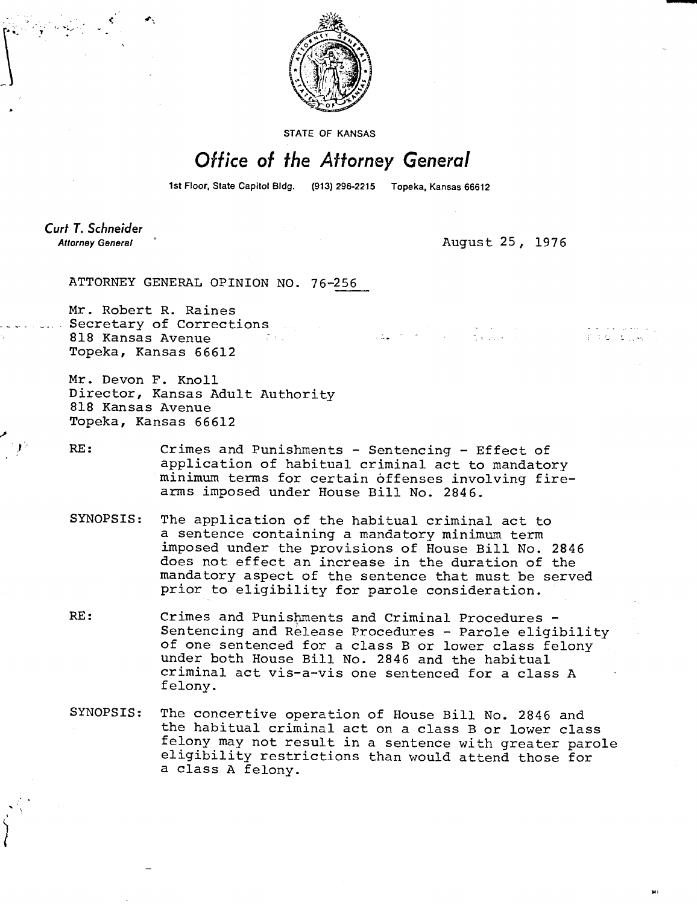

STATE OF KANSAS

## Office of the Attorney General

1st Floor, State Capitol Bldg. (913) 296-2215 Topeka, Kansas 66612

Curt T. Schneider **Attorney General** 

August 25, 1976

ATTORNEY GENERAL OPINION NO. 76-256

Mr. Robert R. Raines Secretary of Corrections 818 Kansas Avenue Topeka, Kansas 66612

Mr. Devon F. Knoll Director, Kansas Adult Authority 818 Kansas Avenue Topeka, Kansas 66612

RE: Crimes and Punishments - Sentencing - Effect of application of habitual criminal act to mandatory minimum terms for certain offenses involving firearms imposed under House Bill No. 2846.

- SYNOPSIS: The application of the habitual criminal act to a sentence containing a mandatory minimum term imposed under the provisions of House Bill No. 2846 does not effect an increase in the duration of the mandatory aspect of the sentence that must be served prior to eligibility for parole consideration.
- RE: Crimes and Punishments and Criminal Procedures -Sentencing and Release Procedures - Parole eligibility of one sentenced for a class B or lower class felony under both House Bill No. 2846 and the habitual criminal act vis-a-vis one sentenced for a class A felony.
- SYNOPSIS: The concertive operation of House Bill No. 2846 and the habitual criminal act on a class B or lower class felony may not result in a sentence with greater parole eligibility restrictions than would attend those for a class A felony.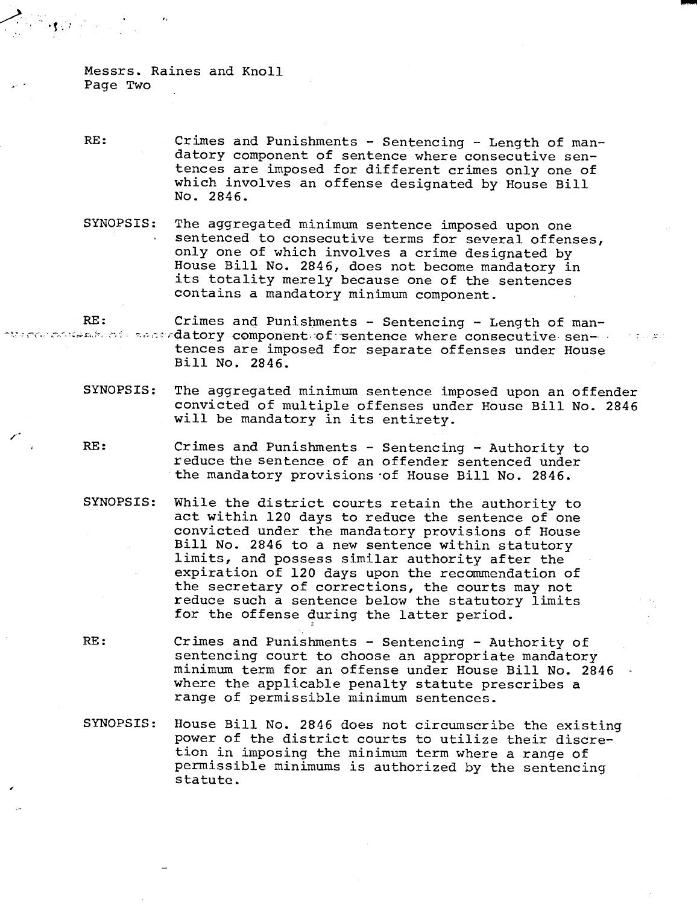Messrs. Raines and Knoll Page Two

- RE: Crimes and Punishments Sentencing Length of mandatory component of sentence where consecutive sentences are imposed for different crimes only one of which involves an offense designated by House Bill No. 2846.
- SYNOPSIS: The aggregated minimum sentence imposed upon one sentenced to consecutive terms for several offenses, only one of which involves a crime designated by House Bill No. 2846, does not become mandatory in its totality merely because one of the sentences contains a mandatory minimum component.

RE: Crimes and Punishments - Sentencing - Length of man-  $\sim$  component of secondatory component of sentence where consecutive sen- $\sim$ tences are imposed for separate offenses under House Bill No. 2846.

- SYNOPSIS: The aggregated minimum sentence imposed upon an offender convicted of multiple offenses under House Bill No. <sup>2846</sup> will be mandatory in its entirety.
- RE: Crimes and Punishments Sentencing Authority to reduce the sentence of an offender sentenced under the mandatory provisions of House Bill No. 2846.
- SYNOPSIS: While the district courts retain the authority to act within 120 days to reduce the sentence of one convicted under the mandatory provisions of House Bill No. 2846 to a new sentence within statutory limits, and possess similar authority after the expiration of 120 days upon the recommendation of the secretary of corrections, the courts may not reduce such a sentence below the statutory limits for the offense during the latter period.
- RE: Crimes and Punishments Sentencing Authority of sentencing court to choose an appropriate mandatory minimum term for an offense under House Bill No. 2846 where the applicable penalty statute prescribes a range of permissible minimum sentences.
- SYNOPSIS: House Bill No. 2846 does not circumscribe the existing power of the district courts to utilize their discretion in imposing the minimum term where a range of permissible minimums is authorized by the sentencing statute.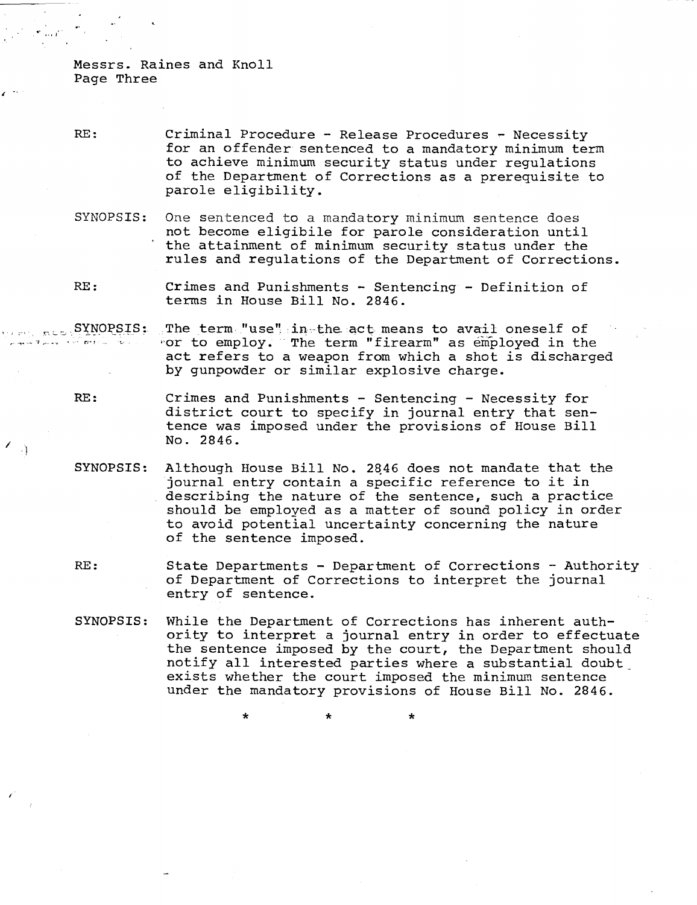Messrs. Raines and Knoll Page Three

 $\rightarrow$ 

RE: Criminal Procedure - Release Procedures - Necessity for an offender sentenced to a mandatory minimum term to achieve minimum security status under regulations of the Department of Corrections as a prerequisite to parole eligibility.

SYNOPSIS: One sentenced to a mandatory minimum sentence does not become eligibile for parole consideration until the attainment of minimum security status under the rules and regulations of the Department of Corrections.

RE: Crimes and Punishments - Sentencing - Definition of terms in House Bill No. 2846.

SYNOPSIS: The term "use" in the. act means to avail oneself of or to employ. The term "firearm" as employed in the act refers to a weapon from which a shot is discharged by gunpowder or similar explosive charge.

- RE: Crimes and Punishments Sentencing Necessity for district court to specify in journal entry that sentence was imposed under the provisions of House Bill No. 2846.
- SYNOPSIS: Although House Bill No. 2q46 does not mandate that the journal entry contain a specific reference to it in describing the nature of the sentence, such a practice should be employed as a matter of sound policy in order to avoid potential uncertainty concerning the nature of the sentence imposed.
- RE: State Departments Department of Corrections Authority of Department of Corrections to interpret the journal entry of sentence.
- SYNOPSIS: While the Department of Corrections has inherent authority to interpret a journal entry in order to effectuate the sentence imposed by the court, the Department should notify all interested parties where a substantial doubt\_ exists whether the court imposed the minimum sentence under the mandatory provisions of House Bill No. 2846.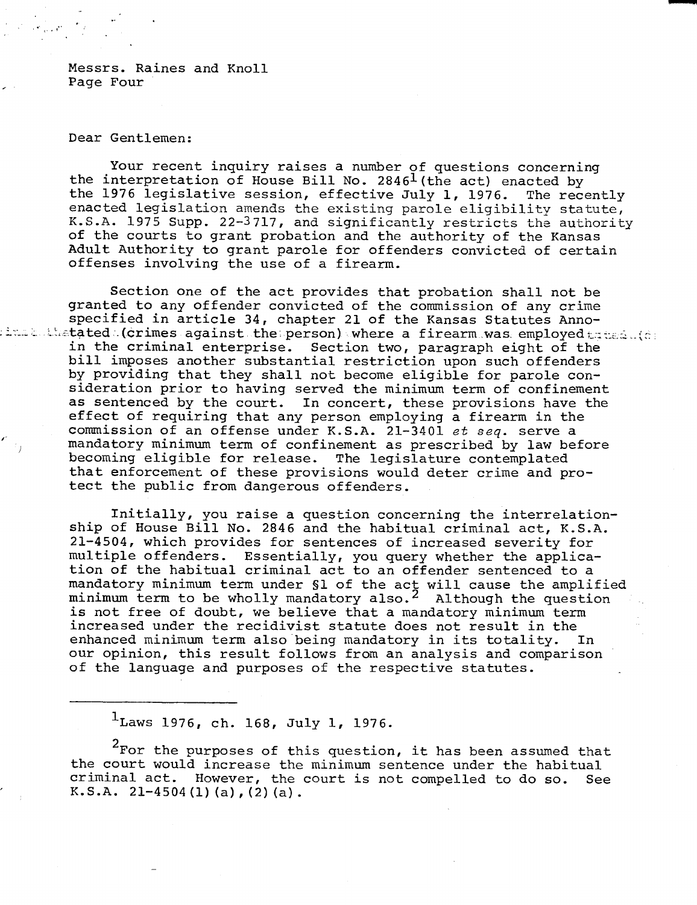Messrs. Raines and Knoll Page Four

## Dear Gentlemen:

Your recent inquiry raises a number of questions concerning the interpretation of House Bill No. 2846<sup>1</sup> (the act) enacted by<br>the 1976 legislative session, effective July 1, 1976. The recently the 1976 legislative session, effective July 1, 1976. enacted legislation amends the existing parole eligibility statute, K.S.A. 1975 Supp. 22-3717, and significantly restricts the authority of the courts to grant probation and the authority of the Kansas Adult Authority to grant parole for offenders convicted of certain offenses involving the use of a firearm.

Section one of the act provides that probation shall not be granted to any offender convicted of the commission of any crime specified in article 34, chapter 21 of the Kansas Statutes Anno $t$ tated .(crimes against the person) where a firearm was employed  $t$  and  $\zeta$ in the criminal enterprise. Section two, paragraph eight of the bill imposes another substantial restriction upon such offenders by providing that they shall not become eligible for parole consideration prior to having served the minimum term of confinement as sentenced by the court. In concert, these provisions have the effect of requiring that any person employing a firearm in the commission of an offense under K.S.A. 21-3401 et seq. serve a mandatory minimum term of confinement as prescribed by law before becoming eligible for release. The legislature contemplated that enforcement of these provisions would deter crime and protect the public from dangerous offenders.

> Initially, you raise a question concerning the interrelationship of House Bill No. 2846 and the habitual criminal act, K.S.A. 21-4504, which provides for sentences of increased severity for multiple offenders. Essentially, you query whether the application of the habitual criminal act to an offender sentenced to a mandatory minimum term under §1 of the act will cause the amplified minimum term to be wholly mandatory also.<sup>2</sup> Although the question is not free of doubt, we believe that a mandatory minimum term increased under the recidivist statute does not result in the enhanced minimum term also being mandatory in its totality. In our opinion, this result follows from an analysis and comparison of the language and purposes of the respective statutes.

 $1$ Laws 1976, ch. 168, July 1, 1976.

<sup>2</sup>For the purposes of this question, it has been assumed that the court would increase the minimum sentence under the habitual criminal act. However, the court is not compelled to do so. See K.S.A.  $21-4504$  (1) (a), (2) (a).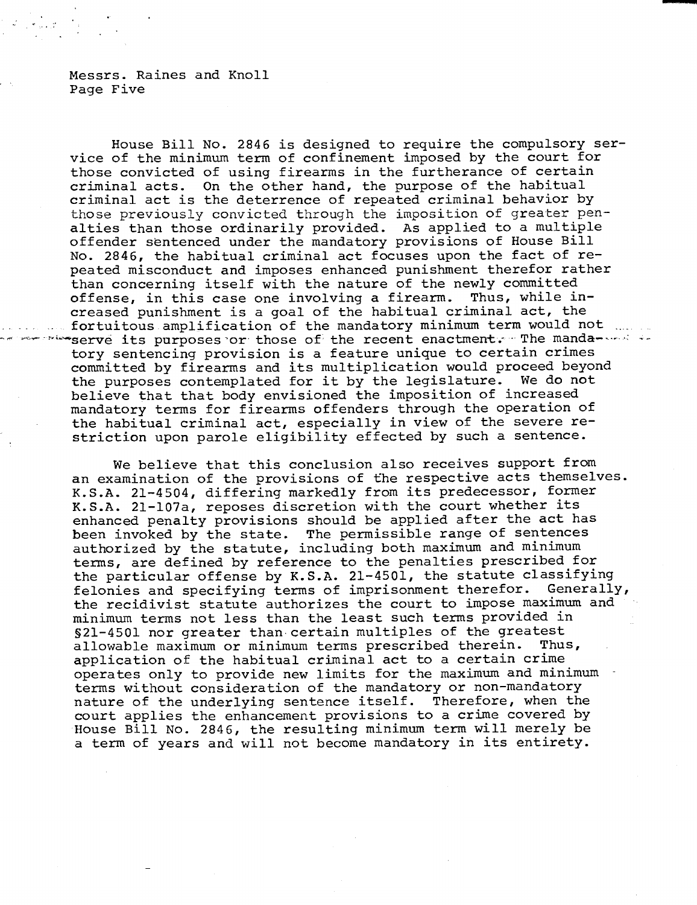Messrs. Raines and Knoll Page Five

House Bill No. 2846 is designed to require the compulsory service of the minimum term of confinement imposed by the court for those convicted of using firearms in the furtherance of certain criminal acts. On the other hand, the purpose of the habitual criminal act is the deterrence of repeated criminal behavior by those previously convicted through the imposition of greater penalties than those ordinarily provided. As applied to a multiple offender sentenced under the mandatory provisions of House Bill No. 2846, the habitual criminal act focuses upon the fact of repeated misconduct and imposes enhanced punishment therefor rather than concerning itself with the nature of the newly committed offense, in this case one involving a firearm. Thus, while increased punishment is a goal of the habitual criminal act, the fortuitous amplification of the mandatory minimum term would not with serve its purposes or those of the recent enactment. The mandatory sentencing provision is a feature unique to certain crimes committed by firearms and its multiplication would proceed beyond the purposes contemplated for it by the legislature. We do not believe that that body envisioned the imposition of increased mandatory terms for firearms offenders through the operation of the habitual criminal act, especially in view of the severe restriction upon parole eligibility effected by such a sentence.

We believe that this conclusion also receives support from an examination of the provisions of the respective acts themselves. K.S.A. 21-4504, differing markedly from its predecessor, former K.S.A. 21-107a, reposes discretion with the court whether its enhanced penalty provisions should be applied after the act has been invoked by the state. The permissible range of sentences authorized by the statute, including both maximum and minimum terms, are defined by reference to the penalties prescribed for the particular offense by K.S.A. 21-4501, the statute classifying felonies and specifying terms of imprisonment therefor. Generally, the recidivist statute authorizes the court to impose maximum and minimum terms not less than the least such terms provided in §21-4501 nor greater than certain multiples of the greatest allowable maximum or minimum terms prescribed therein. Thus, application of the habitual criminal act to a certain crime operates only to provide new limits for the maximum and minimum terms without consideration of the mandatory or non-mandatory nature of the underlying sentence itself. Therefore, when the court applies the enhancement provisions to a crime covered by House Bill No. 2846, the resulting minimum term will merely be a term of years and will not become mandatory in its entirety.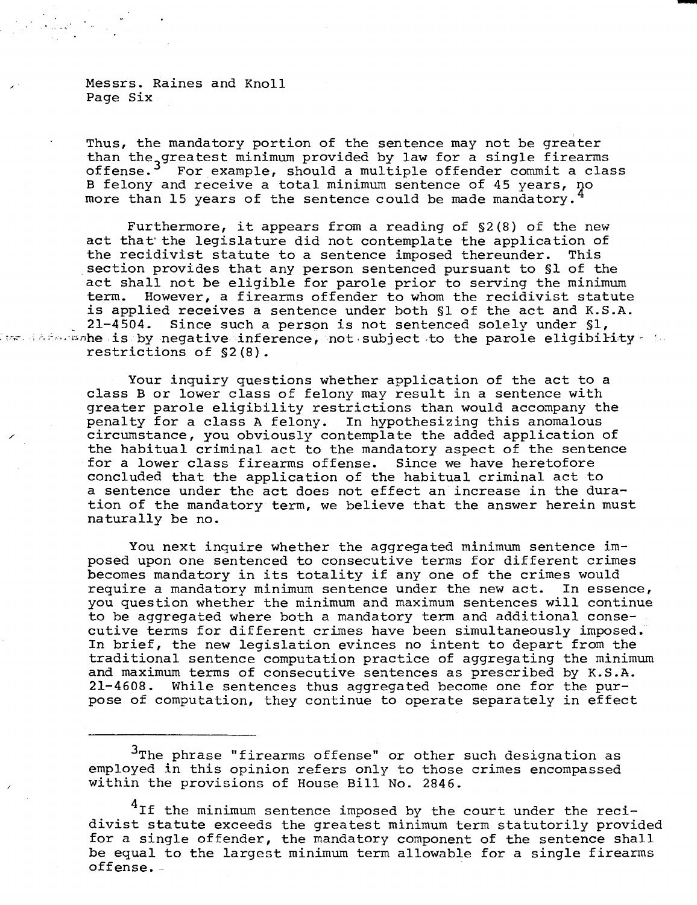Messrs. Raines and Knoll Page Six

Thus, the mandatory portion of the sentence may not be greater than the greatest minimum provided by law for a single firearms offense.<sup>3</sup> For example, should a multiple offender commit a class B felony and receive a total minimum sentence of 45 years, no more than 15 years of the sentence could be made mandatory.

Furthermore, it appears from a reading of §2(8) of the new act that the legislature did not contemplate the application of the recidivist statute to a sentence imposed thereunder. This section provides that any person sentenced pursuant to §1 of the act shall not be eligible for parole prior to serving the minimum term. However, a firearms offender to whom the recidivist statute is applied receives a sentence under both §1 of the act and K.S.A. 21-4504. Since such a person is not sentenced solely under §1, ive inference is by negative inference, not subject to the parole eligibility  $\epsilon$  in restrictions of §2(8).

> Your inquiry questions whether application of the act to a class B or lower class of felony may result in a sentence with greater parole eligibility restrictions than would accompany the penalty for a class A felony. In hypothesizing this anomalous circumstance, you obviously contemplate the added application of the habitual criminal act to the mandatory aspect of the sentence for a lower class firearms offense. Since we have heretofore concluded that the application of the habitual criminal act to a sentence under the act does not effect an increase in the duration of the mandatory term, we believe that the answer herein must naturally be no.

You next inquire whether the aggregated minimum sentence imposed upon one sentenced to consecutive terms for different crimes becomes mandatory in its totality if any one of the crimes would require a mandatory minimum sentence under the new act. In essence, you question whether the minimum and maximum sentences will continue to be aggregated where both a mandatory term and additional consecutive terms for different crimes have been simultaneously imposed. In brief, the new legislation evinces no intent to depart from the traditional sentence computation practice of aggregating the minimum and maximum terms of consecutive sentences as prescribed by K.S.A. 21-4608. While sentences thus aggregated become one for the purpose of computation, they continue to operate separately in effect

<sup>3</sup>The phrase "firearms offense" or other such designation as employed in this opinion refers only to those crimes encompassed within the provisions of House Bill No. 2846.

<sup>4</sup>If the minimum sentence imposed by the court under the recidivist statute exceeds the greatest minimum term statutorily provided for a single offender, the mandatory component of the sentence shall be equal to the largest minimum term allowable for a single firearms offense. -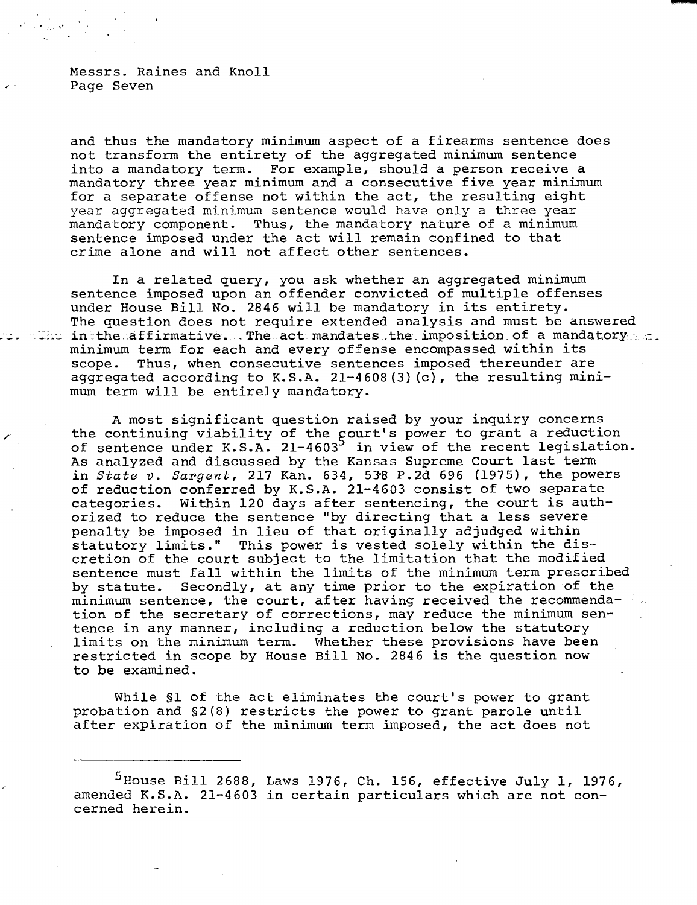Messrs. Raines and Knoll Page Seven

and thus the mandatory minimum aspect of a firearms sentence does not transform the entirety of the aggregated minimum sentence into a mandatory term. For example, should a person receive a mandatory three year minimum and a consecutive five year minimum for a separate offense not within the act, the resulting eight year aggregated minimum sentence would have only a three year mandatory component. Thus, the mandatory nature of a minimum sentence imposed under the act will remain confined to that crime alone and will not affect other sentences.

In a related query, you ask whether an aggregated minimum sentence imposed upon an offender convicted of multiple offenses under House Bill No. 2846 will be mandatory in its entirety. The question does not require extended analysis and must be answered The inthe affirmative. . The act mandates the imposition of a mandatory.  $a$ . minimum term for each and every offense encompassed within its scope. Thus, when consecutive sentences imposed thereunder are aggregated according to K.S.A. 21-4608(3)(c), the resulting minimum term will be entirely mandatory.

A most significant question raised by your inquiry concerns the continuing viability of the court's power to grant a reduction of sentence under K.S.A. 21-4603<sup>5</sup> in view of the recent legislation. As analyzed and discussed by the Kansas Supreme Court last term in State v. Sargent, 217 Kan.  $634$ , 538 P.2d 696 (1975), the powers of reduction conferred by K.S.A. 21-4603 consist of two separate categories. Within 120 days after sentencing, the court is authorized to reduce the sentence "by directing that a less severe penalty be imposed in lieu of that originally adjudged within statutory limits." This power is vested solely within the discretion of the court subject to the limitation that the modified sentence must fall within the limits of the minimum term prescribed by statute. Secondly, at any time prior to the expiration of the minimum sentence, the court, after having received the recommendation of the secretary of corrections, may reduce the minimum sentence in any manner, including a reduction below the statutory limits on the minimum term. Whether these provisions have been restricted in scope by House Bill No. 2846 is the question now to be examined.

While §1 of the act eliminates the court's power to grant probation and §2(8) restricts the power to grant parole until after expiration of the minimum term imposed, the act does not

<sup>&</sup>lt;sup>5</sup> House Bill 2688, Laws 1976, Ch. 156, effective July 1, 1976, amended K.S.A. 21-4603 in certain particulars which are not concerned herein.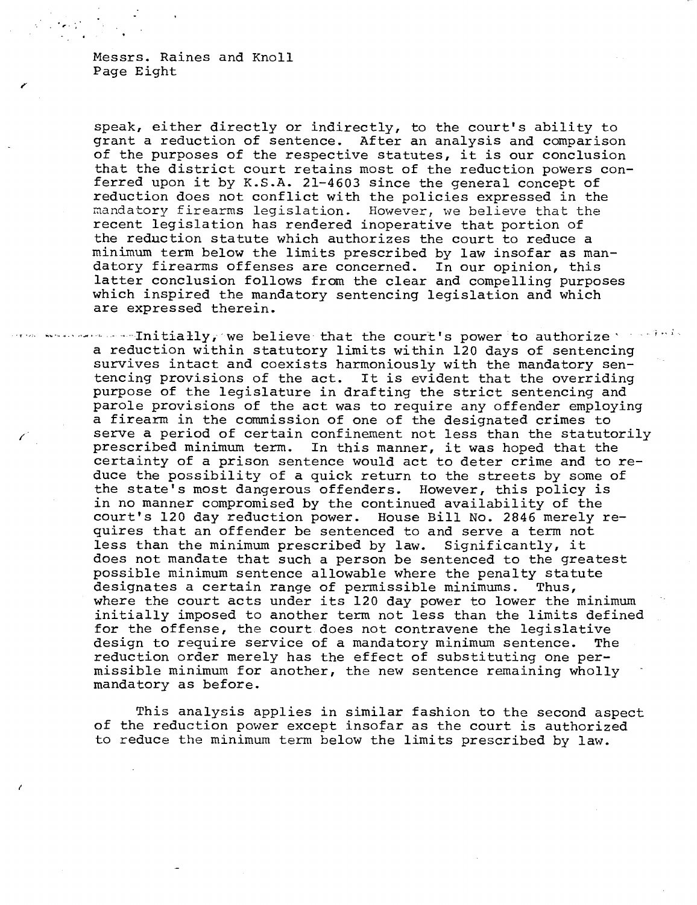Messrs. Raines and Knoll Page Eight

speak, either directly or indirectly, to the court's ability to grant a reduction of sentence. After an analysis and comparison of the purposes of the respective statutes, it is our conclusion that the district court retains most of the reduction powers conferred upon it by K.S.A. 21-4603 since the general concept of reduction does not conflict with the policies expressed in the mandatory firearms legislation. However, we believe that the recent legislation has rendered inoperative that portion of the reduction statute which authorizes the court to reduce a minimum term below the limits prescribed by law insofar as mandatory firearms offenses are concerned. In our opinion, this latter conclusion follows from the clear and compelling purposes which inspired the mandatory sentencing legislation and which are expressed therein.

 $\cdots$ Initially, we believe that the court's power to authorize's seriods a reduction within statutory limits within 120 days of sentencing survives intact and coexists harmoniously with the mandatory sentencing provisions of the act. It is evident that the overriding purpose of the legislature in drafting the strict sentencing and parole provisions of the act was to require any offender employing a firearm in the commission of one of the designated crimes to serve a period of certain confinement not less than the statutorily prescribed minimum term. In this manner, it was hoped that the certainty of a prison sentence would act to deter crime and to reduce the possibility of a quick return to the streets by some of the state's most dangerous offenders. However, this policy is in no manner compromised by the continued availability of the court's 120 day reduction power. House Bill No. 2846 merely requires that an offender be sentenced to and serve a term not less than the minimum prescribed by law. Significantly, it does not mandate that such a person be sentenced to the greatest possible minimum sentence allowable where the penalty statute designates a certain range of permissible minimums. Thus, where the court acts under its 120 day power to lower the minimum initially imposed to another term not less than the limits defined for the offense, the court does not contravene the legislative design to require service of a mandatory minimum sentence. The reduction order merely has the effect of substituting one permissible minimum for another, the new sentence remaining wholly mandatory as before.

This analysis applies in similar fashion to the second aspect of the reduction power except insofar as the court is authorized to reduce the minimum term below the limits prescribed by law.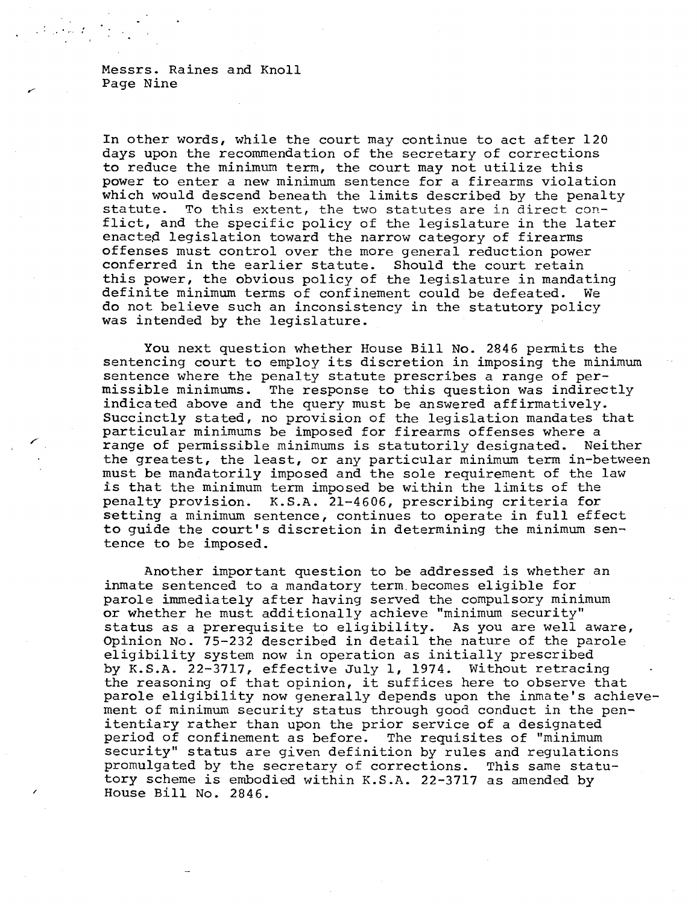Messrs. Raines and Knoll Page Nine

In other words, while the court may continue to act after 120 days upon the recommendation of the secretary of corrections to reduce the minimum term, the court may not utilize this power to enter a new minimum sentence for a firearms violation which would descend beneath the limits described by the penalty statute. To this extent, the two statutes are in direct conflict, and the specific policy of the legislature in the later enacted legislation toward the narrow category of firearms offenses must control over the more general reduction power conferred in the earlier statute. Should the court retain this power, the obvious policy of the legislature in mandating definite minimum terms of confinement could be defeated. We do not believe such an inconsistency in the statutory policy was intended by the legislature.

You next question whether House Bill No. 2846 permits the sentencing court to employ its discretion in imposing the minimum sentence where the penalty statute prescribes a range of permissible minimums. The response to this question was indirectly indicated above and the query must be answered affirmatively. Succinctly stated, no provision of the legislation mandates that particular minimums be imposed for firearms offenses where a range of permissible minimums is statutorily designated. Neither the greatest, the least, or any particular minimum term in-between must be mandatorily imposed and the sole requirement of the law is that the minimum term imposed be within the limits of the penalty provision. K.S.A. 21-4606, prescribing criteria for setting a minimum sentence, continues to operate in full effect to guide the court's discretion in determining the minimum sentence to be imposed.

Another important question to be addressed is whether an inmate sentenced to a mandatory term becomes eligible for parole immediately after having served the compulsory minimum or whether he must additionally achieve "minimum security" status as a prerequisite to eligibility. As you are well aware, Opinion No. 75-232 described in detail the nature of the parole eligibility system now in operation as initially prescribed by K.S.A. 22-3717, effective July 1, 1974. Without retracing the reasoning of that opinion, it suffices here to observe that parole eligibility now generally depends upon the inmate's achievement of minimum security status through good conduct in the penitentiary rather than upon the prior service of a designated period of confinement as before. The requisites of "minimum security" status are given definition by rules and regulations promulgated by the secretary of corrections. This same statutory scheme is embodied within K.S.A. 22-3717 as amended by House Bill No. 2846.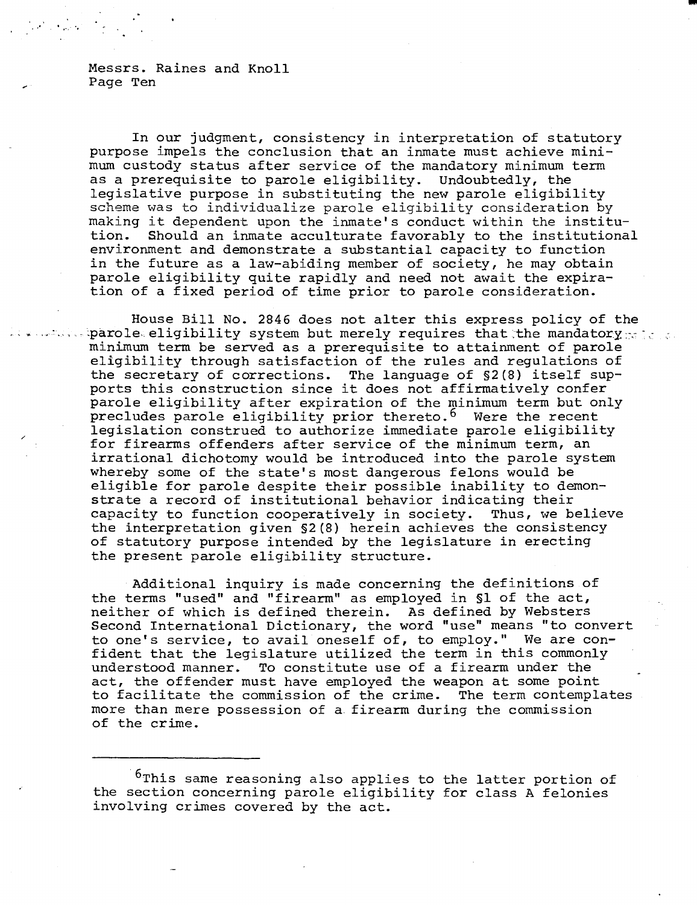Messrs. Raines and Knoll Page Ten

 $\label{eq:2} \frac{1}{2}\int_{\mathbb{R}^3} \left|\frac{d\mathbf{y}}{d\mathbf{x}}\right|^2 \, d\mathbf{x} \, d\mathbf{x} \, d\mathbf{x} \, d\mathbf{x} \, d\mathbf{x} \, d\mathbf{x} \, d\mathbf{x} \, d\mathbf{x} \, d\mathbf{x} \, d\mathbf{x} \, d\mathbf{x} \, d\mathbf{x} \, d\mathbf{x} \, d\mathbf{x} \, d\mathbf{x} \, d\mathbf{x} \, d\mathbf{x} \, d\mathbf{x} \, d\mathbf{x} \, d\mathbf{x} \, d\mathbf{x} \, d\$ 

In our judgment, consistency in interpretation of statutory purpose impels the conclusion that an inmate must achieve minimum custody status after service of the mandatory minimum term as a prerequisite to parole eligibility. Undoubtedly, the legislative purpose in substituting the new parole eligibility scheme was to individualize parole eligibility consideration by making it dependent upon the inmate's conduct within the institution. Should an inmate acculturate favorably to the institutional environment and demonstrate a substantial capacity to function in the future as a law-abiding member of society, he may obtain parole eligibility quite rapidly and need not await the expiration of a fixed period of time prior to parole consideration.

House Bill No. 2846 does not alter this express policy of the barole eligibility system but merely requires that the mandatory sides. minimum term be served as a prerequisite to attainment of parole eligibility through satisfaction of the rules and regulations of the secretary of corrections. The language of §2(8) itself supports this construction since it does not affirmatively confer parole eligibility after expiration of the minimum term but only precludes parole eligibility prior thereto.<sup>6</sup> Were the recent legislation construed to authorize immediate parole eligibility for firearms offenders after service of the minimum term, an irrational dichotomy would be introduced into the parole system whereby some of the state's most dangerous felons would be eligible for parole despite their possible inability to demonstrate a record of institutional behavior indicating their capacity to function cooperatively in society. Thus, we believe the interpretation given §2(8) herein achieves the consistency of statutory purpose intended by the legislature in erecting the present parole eligibility structure.

Additional inquiry is made concerning the definitions of the terms "used" and "firearm" as employed in §1 of the act, neither of which is defined therein. As defined by Websters Second International Dictionary, the word "use" means "to convert to one's service, to avail oneself of, to employ." We are confident that the legislature utilized the term in this commonly understood manner. To constitute use of a firearm under the act, the offender must have employed the weapon at some point to facilitate the commission of the crime. The term contemplates more than mere possession of a. firearm during the commission of the crime.

<sup>&</sup>lt;sup>6</sup>This same reasoning also applies to the latter portion of the section concerning parole eligibility for class A felonies involving crimes covered by the act.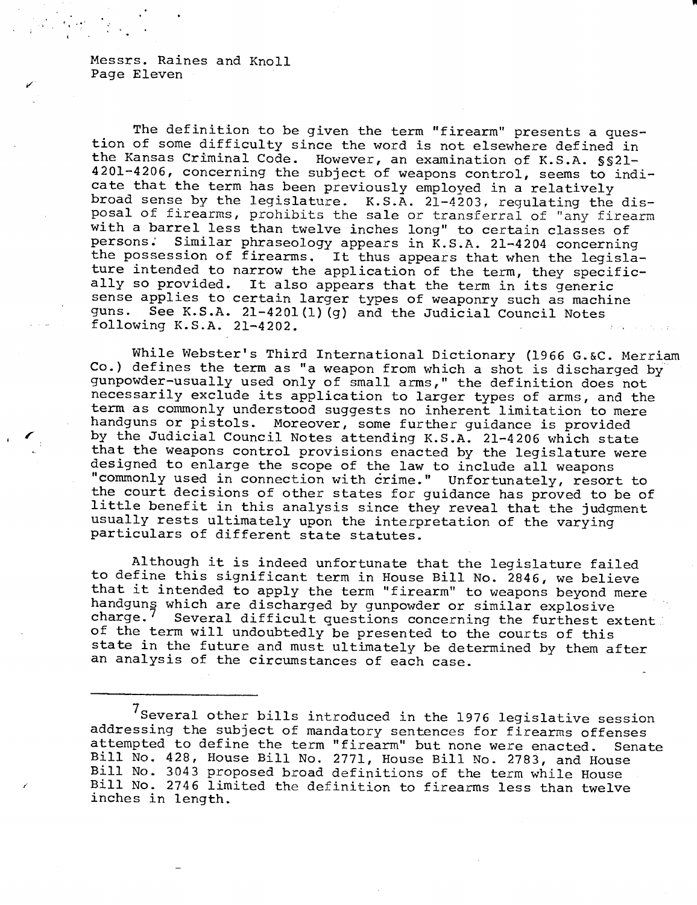Messrs. Raines and Knoll Page Eleven

The definition to be given the term "firearm" presents a question of some difficulty since the word is not elsewhere defined in the Kansas Criminal Code. However, an examination of K.S.A. §§21- 4201-4206, concerning the subject of weapons control, seems to indicate that the term has been previously employed in a relatively broad sense by the legislature. K.S.A. 21-4203, regulating the disposal of firearms, prohibits the sale or transferral of "any firearm with a barrel less than twelve inches long" to certain classes of persons. Similar phraseology appears in K S A  $21-4204$  concerning Similar phraseology appears in K.S.A. 21-4204 concerning the possession of firearms. It thus appears that when the legislature intended to narrow the application of the term, they specifically so provided. It also appears that the term in its generic sense applies to certain larger types of weaponry such as machine guns. See K.S.A. 21-4201(1)(g) and the Judicial Council Notes following K.S.A. 21-4202.

While Webster's Third International Dictionary (1966 G.&C. Merriam Co.) defines the term as "a weapon from which a shot is discharged by gunpowder-usually used only of small arms," the definition does not necessarily exclude its application to larger types of arms, and the term as commonly understood suggests no inherent limitation to mere handguns or pistols. Moreover, some further guidance is provided by the Judicial Council Notes attending K.S.A. 21-4206 which state that the weapons control provisions enacted by the legislature were designed to enlarge the scope of the law to include all weapons "commonly used in connection with crime." Unfortunately, resort to the court decisions of other states for guidance has proved to be of little benefit in this analysis since they reveal that the judgment usually rests ultimately upon the interpretation of the varying particulars of different state statutes.

Although it is indeed unfortunate that the legislature failed to define this significant term in House Bill No. 2846, we believe that it intended to apply the term "firearm" to weapons beyond mere handguns which are discharged by gunpowder or similar explosive<br>charge.<sup>7</sup> Several difficult questions concerning the furthest ex Several difficult questions concerning the furthest extent. of the term will undoubtedly be presented to the courts of this state in the future and must ultimately be determined by them after an analysis of the circumstances of each case.

Several other bills introduced in the 1976 legislative session addressing the subject of mandatory sentences for firearms offenses attempted to define the term "firearm" but none were enacted. Senate Bill No. 428, House Bill No. 2771, House Bill No. 2783, and House Bill No. 3043 proposed broad definitions of the term while House Bill No. 2746 limited the definition to firearms less than twelve inches in length.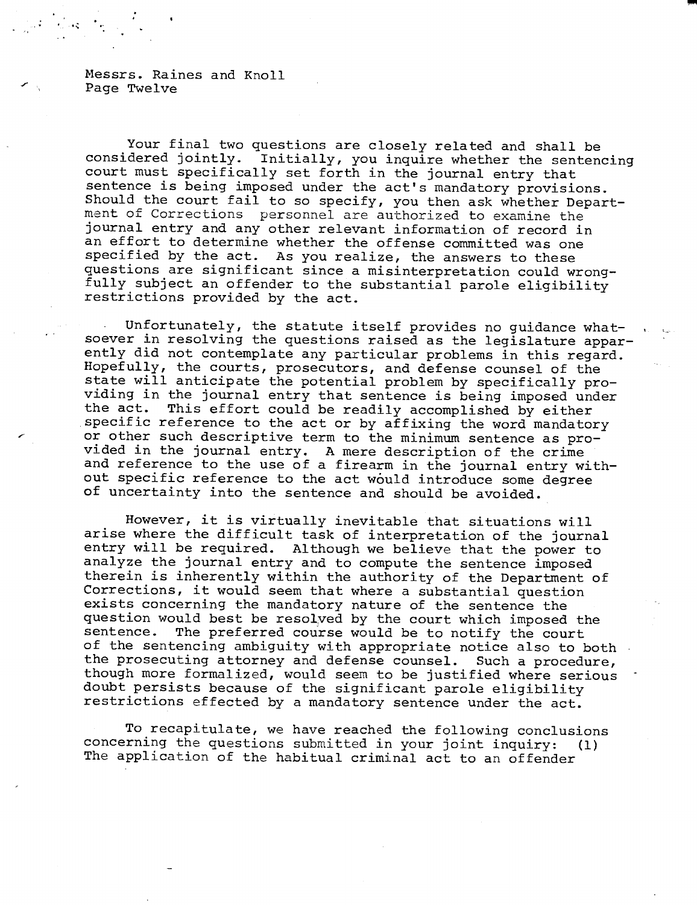Messrs. Raines and Knoll Page Twelve

Your final two questions are closely related and shall be considered jointly. Initially, you inquire whether the sentencing court must specifically set forth in the journal entry that sentence is being imposed under the act's mandatory provisions. Should the court fail to so specify, you then ask whether Department of Corrections personnel are authorized to examine the journal entry and any other relevant information of record in an effort to determine whether the offense committed was one specified by the act. As you realize, the answers to these questions are significant since a misinterpretation could wrongfully subject an offender to the substantial parole eligibility restrictions provided by the act.

Unfortunately, the statute itself provides no guidance whatsoever in resolving the questions raised as the legislature apparently did not contemplate any particular problems in this regard. Hopefully, the courts, prosecutors, and defense counsel of the state will anticipate the potential problem by specifically providing in the journal entry that sentence is being imposed under<br>the act. This effort could be readily accomplished by either This effort could be readily accomplished by either specific reference to the act or by affixing the word mandatory or other such descriptive term to the minimum sentence as provided in the journal entry. A mere description of the crime and reference to the use of a firearm in the journal entry without specific reference to the act would introduce some degree of uncertainty into the sentence and should be avoided.

However, it is virtually inevitable that situations will arise where the difficult task of interpretation of the journal entry will be required. Although we believe that the power to analyze the journal entry and to compute the sentence imposed therein is inherently within the authority of the Department of Corrections, it would seem that where a substantial question exists concerning the mandatory nature of the sentence the question would best be resolved by the court which imposed the sentence. The preferred course would be to notify the court of the sentencing ambiguity with appropriate notice also to both the prosecuting attorney and defense counsel. Such a procedure, though more formalized, would seem to be justified where serious doubt persists because of the significant parole eligibility restrictions effected by a mandatory sentence under the act.

To recapitulate, we have reached the following conclusions concerning the questions submitted in your joint inquiry: (1) The application of the habitual criminal act to an offender